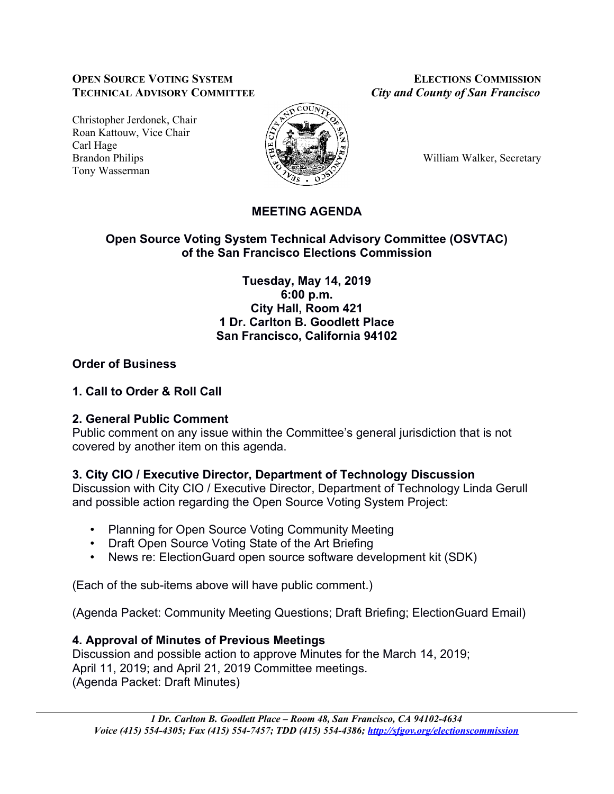### **OPEN SOURCE VOTING SYSTEM ELECTIONS COMMISSION TECHNICAL ADVISORY COMMITTEE** *City and County of San Francisco*

Christopher Jerdonek, Chair Roan Kattouw, Vice Chair Carl Hage Brandon Philips William Walker, Secretary Tony Wasserman



## **MEETING AGENDA**

## **Open Source Voting System Technical Advisory Committee (OSVTAC) of the San Francisco Elections Commission**

**Tuesday, May 14, 2019 6:00 p.m. City Hall, Room 421 1 Dr. Carlton B. Goodlett Place San Francisco, California 94102**

# **Order of Business**

## **1. Call to Order & Roll Call**

### **2. General Public Comment**

Public comment on any issue within the Committee's general jurisdiction that is not covered by another item on this agenda.

# **3. City CIO / Executive Director, Department of Technology Discussion**

Discussion with City CIO / Executive Director, Department of Technology Linda Gerull and possible action regarding the Open Source Voting System Project:

- Planning for Open Source Voting Community Meeting
- Draft Open Source Voting State of the Art Briefing
- News re: ElectionGuard open source software development kit (SDK)

(Each of the sub-items above will have public comment.)

(Agenda Packet: Community Meeting Questions; Draft Briefing; ElectionGuard Email)

# **4. Approval of Minutes of Previous Meetings**

Discussion and possible action to approve Minutes for the March 14, 2019; April 11, 2019; and April 21, 2019 Committee meetings. (Agenda Packet: Draft Minutes)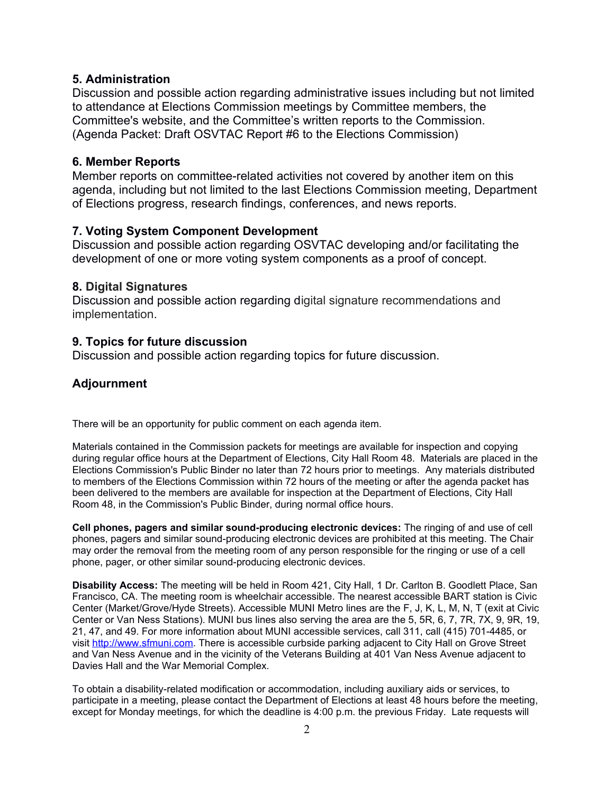### **5. Administration**

Discussion and possible action regarding administrative issues including but not limited to attendance at Elections Commission meetings by Committee members, the Committee's website, and the Committee's written reports to the Commission. (Agenda Packet: Draft OSVTAC Report #6 to the Elections Commission)

#### **6. Member Reports**

Member reports on committee-related activities not covered by another item on this agenda, including but not limited to the last Elections Commission meeting, Department of Elections progress, research findings, conferences, and news reports.

#### **7. Voting System Component Development**

Discussion and possible action regarding OSVTAC developing and/or facilitating the development of one or more voting system components as a proof of concept.

#### **8. Digital Signatures**

Discussion and possible action regarding digital signature recommendations and implementation.

### **9. Topics for future discussion**

Discussion and possible action regarding topics for future discussion.

### **Adjournment**

There will be an opportunity for public comment on each agenda item.

Materials contained in the Commission packets for meetings are available for inspection and copying during regular office hours at the Department of Elections, City Hall Room 48. Materials are placed in the Elections Commission's Public Binder no later than 72 hours prior to meetings. Any materials distributed to members of the Elections Commission within 72 hours of the meeting or after the agenda packet has been delivered to the members are available for inspection at the Department of Elections, City Hall Room 48, in the Commission's Public Binder, during normal office hours.

**Cell phones, pagers and similar sound-producing electronic devices:** The ringing of and use of cell phones, pagers and similar sound-producing electronic devices are prohibited at this meeting. The Chair may order the removal from the meeting room of any person responsible for the ringing or use of a cell phone, pager, or other similar sound-producing electronic devices.

**Disability Access:** The meeting will be held in Room 421, City Hall, 1 Dr. Carlton B. Goodlett Place, San Francisco, CA. The meeting room is wheelchair accessible. The nearest accessible BART station is Civic Center (Market/Grove/Hyde Streets). Accessible MUNI Metro lines are the F, J, K, L, M, N, T (exit at Civic Center or Van Ness Stations). MUNI bus lines also serving the area are the 5, 5R, 6, 7, 7R, 7X, 9, 9R, 19, 21, 47, and 49. For more information about MUNI accessible services, call 311, call (415) 701-4485, or visit [http://www.sfmuni.com.](http://www.sfmuni.com/) There is accessible curbside parking adjacent to City Hall on Grove Street and Van Ness Avenue and in the vicinity of the Veterans Building at 401 Van Ness Avenue adjacent to Davies Hall and the War Memorial Complex.

To obtain a disability-related modification or accommodation, including auxiliary aids or services, to participate in a meeting, please contact the Department of Elections at least 48 hours before the meeting, except for Monday meetings, for which the deadline is 4:00 p.m. the previous Friday. Late requests will